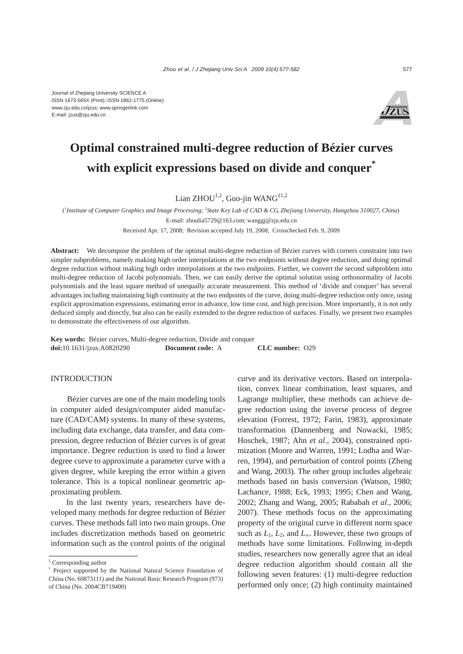

# **Optimal constrained multi-degree reduction of Bézier curves with explicit expressions based on divide and conquer\***

Lian ZHOU<sup>1,2</sup>, Guo-jin WANG<sup>‡1,2</sup>

( *1 Institute of Computer Graphics and Image Processing; <sup>2</sup> State Key Lab of CAD & CG, Zhejiang University, Hangzhou 310027, China*)

E-mail: zhoulia5729@163.com; wanggj@zju.edu.cn

Received Apr. 17, 2008; Revision accepted July 19, 2008; Crosschecked Feb. 9, 2009

**Abstract:** We decompose the problem of the optimal multi-degree reduction of Bézier curves with corners constraint into two simpler subproblems, namely making high order interpolations at the two endpoints without degree reduction, and doing optimal degree reduction without making high order interpolations at the two endpoints. Further, we convert the second subproblem into multi-degree reduction of Jacobi polynomials. Then, we can easily derive the optimal solution using orthonormality of Jacobi polynomials and the least square method of unequally accurate measurement. This method of 'divide and conquer' has several advantages including maintaining high continuity at the two endpoints of the curve, doing multi-degree reduction only once, using explicit approximation expressions, estimating error in advance, low time cost, and high precision. More importantly, it is not only deduced simply and directly, but also can be easily extended to the degree reduction of surfaces. Finally, we present two examples to demonstrate the effectiveness of our algorithm.

**Key words:** Bézier curves, Multi-degree reduction, Divide and conquer **doi:**10.1631/jzus.A0820290 **Document code:** A **CLC number:** O29

INTRODUCTION

Bézier curves are one of the main modeling tools in computer aided design/computer aided manufacture (CAD/CAM) systems. In many of these systems, including data exchange, data transfer, and data compression, degree reduction of Bézier curves is of great importance. Degree reduction is used to find a lower degree curve to approximate a parameter curve with a given degree, while keeping the error within a given tolerance. This is a topical nonlinear geometric approximating problem.

In the last twenty years, researchers have developed many methods for degree reduction of Bézier curves. These methods fall into two main groups. One includes discretization methods based on geometric information such as the control points of the original

curve and its derivative vectors. Based on interpolation, convex linear combination, least squares, and Lagrange multiplier, these methods can achieve degree reduction using the inverse process of degree elevation (Forrest, 1972; Farin, 1983), approximate transformation (Dannenberg and Nowacki, 1985; Hoschek, 1987; Ahn *et al*., 2004), constrained optimization (Moore and Warren, 1991; Lodha and Warren, 1994), and perturbation of control points (Zheng and Wang, 2003). The other group includes algebraic methods based on basis conversion (Watson, 1980; Lachance, 1988; Eck, 1993; 1995; Chen and Wang, 2002; Zhang and Wang, 2005; Rababah *et al*., 2006; 2007). These methods focus on the approximating property of the original curve in different norm space such as  $L_1$ ,  $L_2$ , and  $L_{\infty}$ . However, these two groups of methods have some limitations. Following in-depth studies, researchers now generally agree that an ideal degree reduction algorithm should contain all the following seven features: (1) multi-degree reduction performed only once; (2) high continuity maintained

<sup>‡</sup> Corresponding author

<sup>\*</sup> Project supported by the National Natural Science Foundation of China (No. 60873111) and the National Basic Research Program (973) of China (No. 2004CB719400)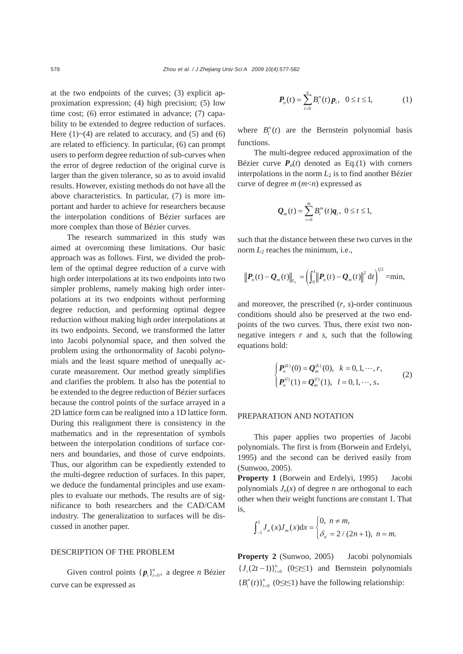at the two endpoints of the curves; (3) explicit approximation expression; (4) high precision; (5) low time cost; (6) error estimated in advance; (7) capability to be extended to degree reduction of surfaces. Here  $(1)$   $\sim$   $(4)$  are related to accuracy, and  $(5)$  and  $(6)$ are related to efficiency. In particular, (6) can prompt users to perform degree reduction of sub-curves when the error of degree reduction of the original curve is larger than the given tolerance, so as to avoid invalid results. However, existing methods do not have all the above characteristics. In particular, (7) is more important and harder to achieve for researchers because the interpolation conditions of Bézier surfaces are more complex than those of Bézier curves.

The research summarized in this study was aimed at overcoming these limitations. Our basic approach was as follows. First, we divided the problem of the optimal degree reduction of a curve with high order interpolations at its two endpoints into two simpler problems, namely making high order interpolations at its two endpoints without performing degree reduction, and performing optimal degree reduction without making high order interpolations at its two endpoints. Second, we transformed the latter into Jacobi polynomial space, and then solved the problem using the orthonormality of Jacobi polynomials and the least square method of unequally accurate measurement. Our method greatly simplifies and clarifies the problem. It also has the potential to be extended to the degree reduction of Bézier surfaces because the control points of the surface arrayed in a 2D lattice form can be realigned into a 1D lattice form. During this realignment there is consistency in the mathematics and in the representation of symbols between the interpolation conditions of surface corners and boundaries, and those of curve endpoints. Thus, our algorithm can be expediently extended to the multi-degree reduction of surfaces. In this paper, we deduce the fundamental principles and use examples to evaluate our methods. The results are of significance to both researchers and the CAD/CAM industry. The generalization to surfaces will be discussed in another paper.

## DESCRIPTION OF THE PROBLEM

Given control points  $\{p_i\}_{i=0}^n$ , a degree *n* Bézier curve can be expressed as

$$
P_n(t) = \sum_{i=0}^n B_i^n(t) p_i, \ \ 0 \le t \le 1,
$$
 (1)

where  $B_i^n(t)$  are the Bernstein polynomial basis functions.

The multi-degree reduced approximation of the Bézier curve  $P_n(t)$  denoted as Eq.(1) with corners interpolations in the norm  $L_2$  is to find another Bézier curve of degree *m* (*m*<*n*) expressed as

$$
Q_m(t) = \sum_{i=0}^m B_i^m(t) q_i, \ 0 \le t \le 1,
$$

such that the distance between these two curves in the norm  $L_2$  reaches the minimum, i.e.,

$$
\left\| P_n(t) - Q_m(t) \right\|_{L_2} = \left( \int_0^1 \left\| P_n(t) - Q_m(t) \right\|^2 dt \right)^{1/2} = \min,
$$

and moreover, the prescribed (*r*, *s*)-order continuous conditions should also be preserved at the two endpoints of the two curves. Thus, there exist two nonnegative integers *r* and *s*, such that the following equations hold:

$$
\begin{cases}\nP_n^{(k)}(0) = \mathcal{Q}_m^{(k)}(0), & k = 0, 1, \dots, r, \\
P_n^{(l)}(1) = \mathcal{Q}_m^{(l)}(1), & l = 0, 1, \dots, s.\n\end{cases}
$$
\n(2)

#### PREPARATION AND NOTATION

This paper applies two properties of Jacobi polynomials. The first is from (Borwein and Erdelyi, 1995) and the second can be derived easily from (Sunwoo, 2005).

**Property 1** (Borwein and Erdelyi, 1995) Jacobi polynomials  $J_n(x)$  of degree *n* are orthogonal to each other when their weight functions are constant 1. That is,

$$
\int_{-1}^{1} J_n(x) J_m(x) dx = \begin{cases} 0, & n \neq m, \\ \delta_n = 2 / (2n + 1), & n = m. \end{cases}
$$

**Property 2** (Sunwoo, 2005)Jacobi polynomials  ${J_i(2t-1)}_{i=0}^n$  (0≤*t*≤1) and Bernstein polynomials  ${B_i^n(t)}_{i=0}^n$  (0≤*t*≤1) have the following relationship: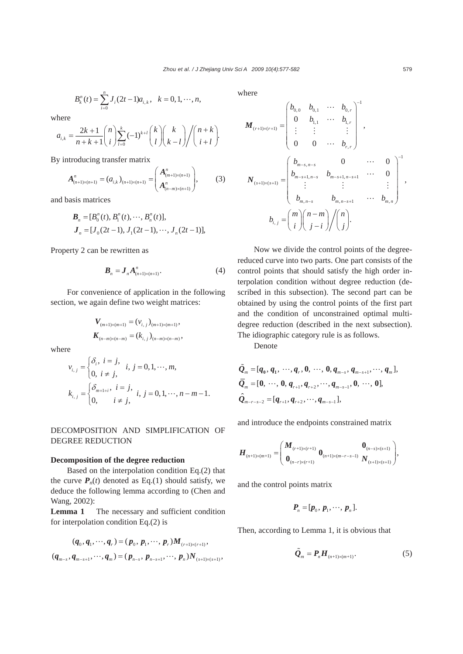$$
B_k^n(t) = \sum_{i=0}^n J_i(2t-1)a_{i,k}, \quad k = 0, 1, \dots, n,
$$

where

$$
a_{i,k} = \frac{2k+1}{n+k+1} {n \choose i} \sum_{l=0}^{k} (-1)^{k+l} {k \choose l} {k \choose k-l} / {n+k \choose i+l}.
$$

By introducing transfer matrix

$$
A_{(n+1)\times(n+1)}^n = (a_{i,k})_{(n+1)\times(n+1)} = \begin{pmatrix} A_{(m+1)\times(n+1)}^n \\ A_{(n-m)\times(n+1)}^n \end{pmatrix},
$$
 (3)

and basis matrices

$$
\begin{aligned} \boldsymbol{B}_n &= [B_0^n(t), B_1^n(t), \cdots, B_n^n(t)], \\ \boldsymbol{J}_n &= [J_0(2t-1), J_1(2t-1), \cdots, J_n(2t-1)], \end{aligned}
$$

Property 2 can be rewritten as

$$
\boldsymbol{B}_n = \boldsymbol{J}_n \boldsymbol{A}_{(n+1)\times(n+1)}^n. \tag{4}
$$

For convenience of application in the following section, we again define two weight matrices:

$$
V_{(m+1)\times(m+1)} = (v_{i, j})_{(m+1)\times(m+1)},
$$
  

$$
K_{(n-m)\times(n-m)} = (k_{i, j})_{(n-m)\times(n-m)},
$$

where

$$
v_{i,j} = \begin{cases} \delta_i, i = j, & i, j = 0, 1, \dots, m, \\ 0, i \neq j, & k_{i,j} = \begin{cases} \delta_{m+1+i}, i = j, & i, j = 0, 1, \dots, n-m-1, \\ 0, & i \neq j, \end{cases} \end{cases}
$$

DECOMPOSITION AND SIMPLIFICATION OF DEGREE REDUCTION

### **Decomposition of the degree reduction**

Based on the interpolation condition Eq.(2) that the curve  $P_n(t)$  denoted as Eq.(1) should satisfy, we deduce the following lemma according to (Chen and Wang, 2002):

Lemma 1 The necessary and sufficient condition for interpolation condition Eq.(2) is

$$
(q_0, q_1, \cdots, q_r) = (p_0, p_1, \cdots, p_r) M_{(r+1)\times(r+1)},
$$
  

$$
(q_{m-s}, q_{m-s+1}, \cdots, q_m) = (p_{n-s}, p_{n-s+1}, \cdots, p_n) N_{(s+1)\times(s+1)},
$$

where  
\n
$$
\mathbf{M}_{(r+1)\times(r+1)} = \begin{pmatrix} b_{0,0} & b_{0,1} & \cdots & b_{0,r} \\ 0 & b_{1,1} & \cdots & b_{1,r} \\ \vdots & \vdots & & \vdots \\ 0 & 0 & \cdots & b_{r,r} \end{pmatrix}^{-1},
$$
\n
$$
\mathbf{N}_{(s+1)\times(s+1)} = \begin{pmatrix} b_{m-s,n-s} & 0 & \cdots & 0 \\ b_{m-s+1,n-s} & b_{m-s+1,n-s+1} & \cdots & 0 \\ \vdots & & \vdots & & \vdots \\ b_{m,n-s} & b_{m,n-s+1} & \cdots & b_{m,n} \end{pmatrix}^{-1},
$$
\n
$$
b_{i,j} = \begin{pmatrix} m \\ i \end{pmatrix} \begin{pmatrix} n-m \\ j-i \end{pmatrix} / \begin{pmatrix} n \\ j \end{pmatrix}.
$$

Now we divide the control points of the degreereduced curve into two parts. One part consists of the control points that should satisfy the high order interpolation condition without degree reduction (described in this subsection). The second part can be obtained by using the control points of the first part and the condition of unconstrained optimal multidegree reduction (described in the next subsection). The idiographic category rule is as follows.

Denote

$$
\tilde{Q}_{m} = [q_{0}, q_{1}, \dots, q_{r}, 0, \dots, 0, q_{m-s}, q_{m-s+1}, \dots, q_{m}],
$$
\n
$$
\overline{Q}_{m} = [0, \dots, 0, q_{r+1}, q_{r+2}, \dots, q_{m-s-1}, 0, \dots, 0],
$$
\n
$$
\hat{Q}_{m-r-s-2} = [q_{r+1}, q_{r+2}, \dots, q_{m-s-1}],
$$

and introduce the endpoints constrained matrix

$$
\boldsymbol{H}_{(n+1)\times(m+1)} = \begin{pmatrix} \boldsymbol{M}_{(r+1)\times(r+1)} & \boldsymbol{0}_{(n+1)\times(m-r-s-1)} & \boldsymbol{0}_{(n-s)\times(s+1)} \\ \boldsymbol{0}_{(n-r)\times(r+1)} & \boldsymbol{0}_{(n+1)\times(m-r-s-1)} & \boldsymbol{N}_{(s+1)\times(s+1)} \end{pmatrix},
$$

and the control points matrix

$$
\boldsymbol{P}_n = [\boldsymbol{p}_0, \boldsymbol{p}_1, \cdots, \boldsymbol{p}_n].
$$

Then, according to Lemma 1, it is obvious that

$$
\tilde{\mathbf{Q}}_m = \mathbf{P}_n \mathbf{H}_{(n+1)\times(m+1)}.\tag{5}
$$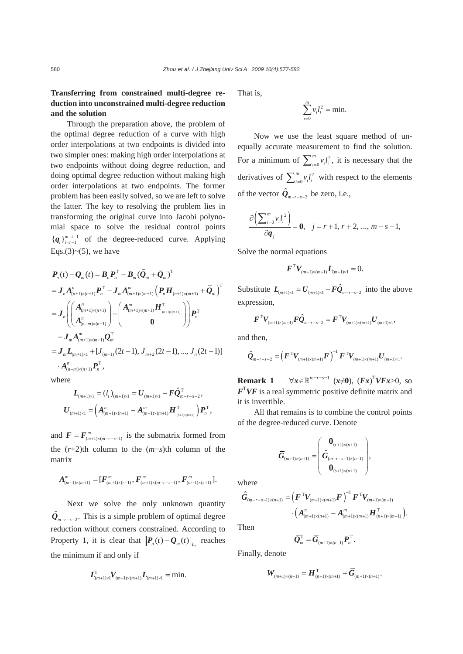# **Transferring from constrained multi-degree reduction into unconstrained multi-degree reduction and the solution**

Through the preparation above, the problem of the optimal degree reduction of a curve with high order interpolations at two endpoints is divided into two simpler ones: making high order interpolations at two endpoints without doing degree reduction, and doing optimal degree reduction without making high order interpolations at two endpoints. The former problem has been easily solved, so we are left to solve the latter. The key to resolving the problem lies in transforming the original curve into Jacobi polynomial space to solve the residual control points  ${q_i}_{i=r+1}^{m-s-1}$  of the degree-reduced curve. Applying Eqs. $(3)$ ~ $(5)$ , we have

$$
P_n(t) - Q_m(t) = B_n P_n^T - B_m (\tilde{Q}_m + \bar{Q}_m)^T
$$
  
\n
$$
= J_n A_{(n+1)\times(n+1)}^n P_n^T - J_m A_{(m+1)\times(m+1)}^m (P_n H_{(n+1)\times(m+1)} + \bar{Q}_m)^T
$$
  
\n
$$
= J_n \left( \begin{pmatrix} A_{(m+1)\times(n+1)}^n \\ A_{(n-m)\times(n+1)}^n \end{pmatrix} - \begin{pmatrix} A_{(m+1)\times(m+1)}^m H_{(n+1)\times(m+1)}^T \\ 0 \end{pmatrix} \right) P_n^T
$$
  
\n
$$
- J_m A_{(m+1)\times(m+1)}^m \bar{Q}_m^T
$$
  
\n
$$
= J_m L_{(m+1)\times 1} + [J_{(m+1)} (2t - 1), J_{m+2} (2t - 1), ..., J_n (2t - 1)]
$$
  
\n
$$
\cdot A_{(n-m)\times(n+1)}^n P_n^T,
$$

where

$$
L_{(m+1)\times 1} = (l_i)_{(m+1)\times 1} = U_{(m+1)\times 1} - F\hat{Q}_{m-r-s-2}^T,
$$
  

$$
U_{(m+1)\times 1} = (A_{(m+1)\times (n+1)}^n - A_{(m+1)\times (m+1)}^m H_{(m+1)\times (m+1)}^T) P_n^T,
$$

and  $\mathbf{F} = \mathbf{F}_{(m+1)\times(m-r-s-1)}^m$  is the submatrix formed from the (*r*+2)th column to the (*m*−*s*)th column of the matrix

$$
A^{m}_{(m+1)\times(m+1)}=[\boldsymbol{F}^{m}_{(m+1)\times(r+1)},\boldsymbol{F}^{m}_{(m+1)\times(m-r-s-1)},\boldsymbol{F}^{m}_{(m+1)\times(s+1)}].
$$

Next we solve the only unknown quantity  $Q_{m-r-s-2}$ . This is a simple problem of optimal degree reduction without corners constrained. According to Property 1, it is clear that  $||P_n(t) - Q_m(t)||_{L_2}$  reaches the minimum if and only if

$$
L_{(m+1)\times 1}^{\mathrm{T}} V_{(m+1)\times (m+1)} L_{(m+1)\times 1} = \min.
$$

That is,

$$
\sum_{i=0}^m v_i l_i^2 = \min.
$$

Now we use the least square method of unequally accurate measurement to find the solution. For a minimum of  $\sum_{i=0}^{m} v_i l_i^2$ , it is necessary that the derivatives of  $\sum_{i=0}^{m} v_i l_i^2$  $\sum_{i=0}^{m} v_i l_i^2$  with respect to the elements of the vector  $\hat{Q}_{m-r-s-2}$  be zero, i.e.,

$$
\frac{\partial \left(\sum_{i=0}^{m} v_i l_i^2\right)}{\partial q_j} = 0, \quad j = r+1, r+2, ..., m-s-1,
$$

Solve the normal equations

$$
\bm{F}^{\mathrm{T}} \bm{V}_{(m+1)\times(m+1)} \bm{L}_{(m+1)\times 1} = 0.
$$

Substitute  $\mathbf{L}_{m+1} = \mathbf{U}_{m+1} - \mathbf{F}\hat{\mathbf{Q}}_{m-r-s-2}$  into the above expression,

$$
\bm{F}^{\mathrm{T}} \bm{V}_{(m+1)\times(m+1)} \bm{F} \hat{\bm{Q}}_{m-r-s-2} = \bm{F}^{\mathrm{T}} \bm{V}_{(m+1)\times(m+1)} \bm{U}_{(m+1)\times 1},
$$

and then,

$$
\hat{Q}_{m-r-s-2} = \left( \bm{F}^{\mathrm{T}} \bm{V}_{(m+1)\times (m+1)} \bm{F} \right)^{-1} \bm{F}^{\mathrm{T}} \bm{V}_{(m+1)\times (m+1)} \bm{U}_{(m+1)\times 1}.
$$

**Remark 1**  $\forall x \in \mathbb{R}^{m-r-s-1}$  ( $x \neq 0$ ), ( $Fx$ )<sup>T</sup> $VFx>0$ , so  $\mathbf{F}^{\mathrm{T}} \mathbf{V} \mathbf{F}$  is a real symmetric positive definite matrix and it is invertible.

All that remains is to combine the control points of the degree-reduced curve. Denote

$$
\overline{G}_{(m+1)\times (n+1)} = \begin{pmatrix} \mathbf{0}_{(r+1)\times (n+1)} \\ \hat{G}_{(m-r-s-1)\times (n+1)} \\ \mathbf{0}_{(s+1)\times (n+1)} \end{pmatrix},
$$

where

$$
\hat{G}_{(m-r-s-1)\times(n+1)} = (F^{\mathrm{T}}V_{(m+1)\times(m+1)}F)^{-1}F^{\mathrm{T}}V_{(m+1)\times(m+1)} \cdot (A_{(m+1)\times(n+1)}^n - A_{(m+1)\times(m+1)}^mH_{(n+1)\times(m+1)}^{\mathrm{T}}).
$$

Then

$$
\overline{\mathbf{\mathcal{Q}}}_m^{\mathrm{T}} = \overline{\mathbf{G}}_{(m+1)\times(n+1)} \mathbf{P}_n^{\mathrm{T}}.
$$

Finally, denote

$$
\mathbf{W}_{(m+1)\times(n+1)} = \mathbf{H}_{(n+1)\times(m+1)}^{T} + \overline{\mathbf{G}}_{(m+1)\times(n+1)}.
$$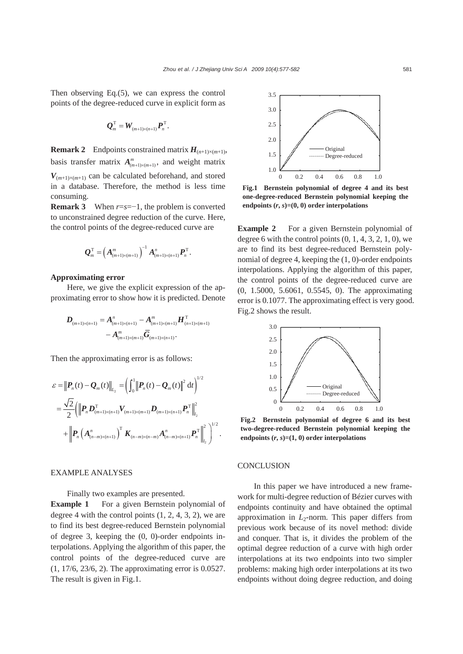Then observing Eq.(5), we can express the control points of the degree-reduced curve in explicit form as

$$
\boldsymbol{Q}_m^{\mathrm{T}} = \boldsymbol{W}_{(m+1)\times(n+1)} \boldsymbol{P}_n^{\mathrm{T}}.
$$

**Remark 2** Endpoints constrained matrix  $H_{(n+1)\times(m+1)}$ , basis transfer matrix  $A_{(m+1)\times(m+1)}^m$ , and weight matrix  $V_{(m+1)\times(m+1)}$  can be calculated beforehand, and stored in a database. Therefore, the method is less time consuming.

**Remark 3** When  $r=s=-1$ , the problem is converted to unconstrained degree reduction of the curve. Here, the control points of the degree-reduced curve are

$$
\mathbf{Q}_{m}^{\mathrm{T}}=\left(\bm{A}_{(m+1)\times(m+1)}^{m}\right)^{-1}\bm{A}_{(m+1)\times(n+1)}^{n}\bm{P}_{n}^{\mathrm{T}}.
$$

## **Approximating error**

Here, we give the explicit expression of the approximating error to show how it is predicted. Denote

$$
D_{(m+1)\times(n+1)} = A_{(m+1)\times(n+1)}^n - A_{(m+1)\times(m+1)}^m H_{(n+1)\times(m+1)}^T
$$
  
- 
$$
A_{(m+1)\times(m+1)}^m \overline{G}_{(m+1)\times(n+1)}.
$$

Then the approximating error is as follows:

$$
\mathcal{E} = \left\| \boldsymbol{P}_n(t) - \boldsymbol{Q}_m(t) \right\|_{L_2} = \left( \int_0^1 \left\| \boldsymbol{P}_n(t) - \boldsymbol{Q}_m(t) \right\|^2 dt \right)^{1/2}
$$
  
=  $\frac{\sqrt{2}}{2} \left( \left\| \boldsymbol{P}_n \boldsymbol{D}_{(m+1)\times(n+1)}^{\mathrm{T}} \boldsymbol{V}_{(m+1)\times(m+1)} \boldsymbol{D}_{(m+1)\times(n+1)} \boldsymbol{P}_n^{\mathrm{T}} \right\|_{L_2}^2 + \left\| \boldsymbol{P}_n \left( \boldsymbol{A}_{(n-m)\times(n+1)}^n \right)^{\mathrm{T}} \boldsymbol{K}_{(n-m)\times(n-m)} \boldsymbol{A}_{(n-m)\times(n+1)}^n \boldsymbol{P}_n^{\mathrm{T}} \right\|_{L_2}^2 \right)^{1/2}.$ 

## EXAMPLE ANALYSES

Finally two examples are presented.

**Example 1** For a given Bernstein polynomial of degree 4 with the control points  $(1, 2, 4, 3, 2)$ , we are to find its best degree-reduced Bernstein polynomial of degree 3, keeping the (0, 0)-order endpoints interpolations. Applying the algorithm of this paper, the control points of the degree-reduced curve are (1, 17/6, 23/6, 2). The approximating error is 0.0527. The result is given in Fig.1.



**Fig.1 Bernstein polynomial of degree 4 and its best one-degree-reduced Bernstein polynomial keeping the** endpoints  $(r, s) = (0, 0)$  order interpolations

**Example 2** For a given Bernstein polynomial of degree 6 with the control points  $(0, 1, 4, 3, 2, 1, 0)$ , we are to find its best degree-reduced Bernstein polynomial of degree 4, keeping the (1, 0)-order endpoints interpolations. Applying the algorithm of this paper, the control points of the degree-reduced curve are (0, 1.5000, 5.6061, 0.5545, 0). The approximating error is 0.1077. The approximating effect is very good. Fig.2 shows the result.



**Fig.2 Bernstein polynomial of degree 6 and its best two-degree-reduced Bernstein polynomial keeping the** endpoints  $(r, s) = (1, 0)$  order interpolations

## **CONCLUSION**

In this paper we have introduced a new framework for multi-degree reduction of Bézier curves with endpoints continuity and have obtained the optimal approximation in  $L_2$ -norm. This paper differs from previous work because of its novel method: divide and conquer. That is, it divides the problem of the optimal degree reduction of a curve with high order interpolations at its two endpoints into two simpler problems: making high order interpolations at its two endpoints without doing degree reduction, and doing